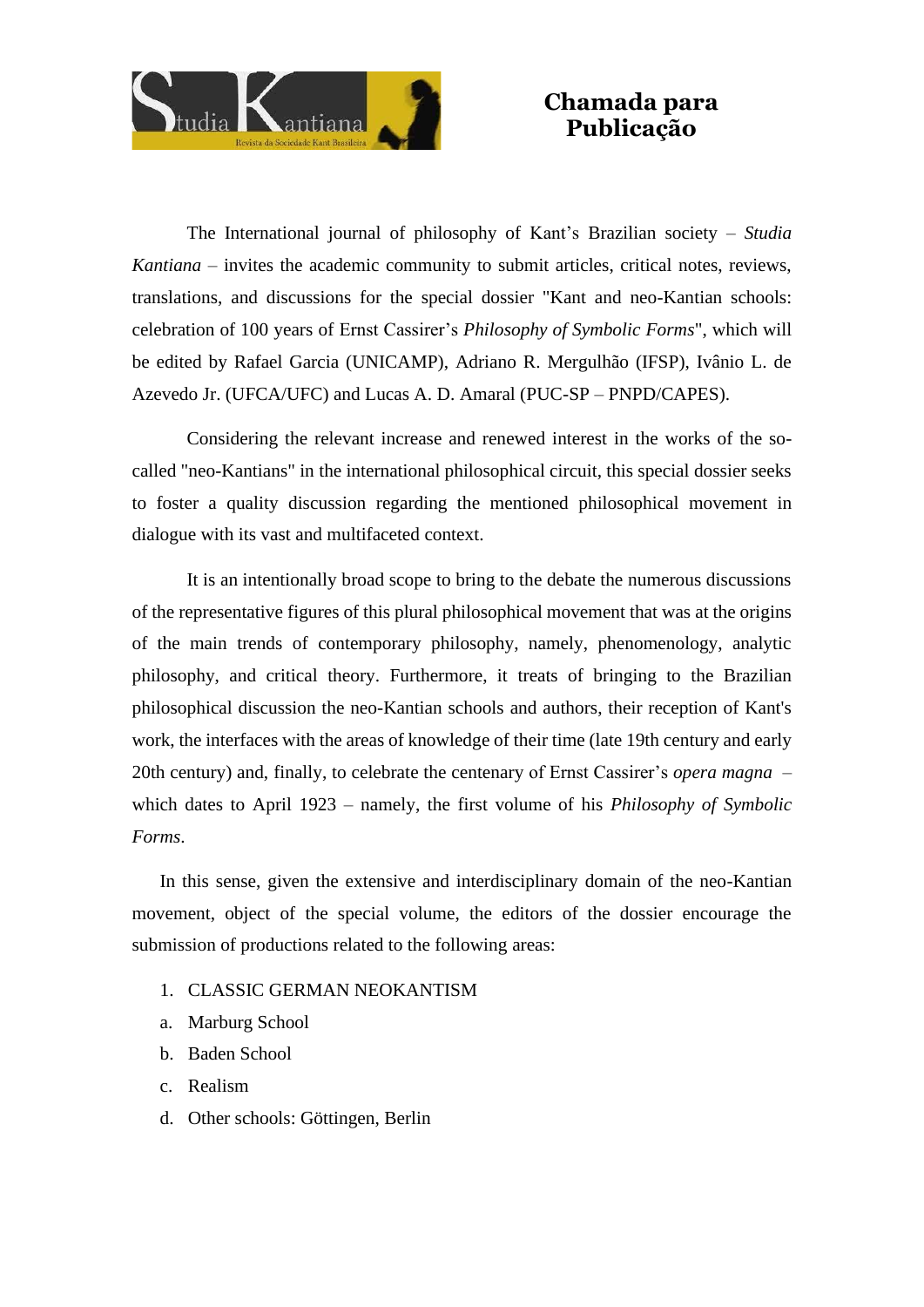

## **Chamada para Publicação**

The International journal of philosophy of Kant's Brazilian society – *Studia Kantiana* – invites the academic community to submit articles, critical notes, reviews, translations, and discussions for the special dossier "Kant and neo-Kantian schools: celebration of 100 years of Ernst Cassirer's *Philosophy of Symbolic Forms*", which will be edited by Rafael Garcia (UNICAMP), Adriano R. Mergulhão (IFSP), Ivânio L. de Azevedo Jr. (UFCA/UFC) and Lucas A. D. Amaral (PUC-SP – PNPD/CAPES).

Considering the relevant increase and renewed interest in the works of the socalled "neo-Kantians" in the international philosophical circuit, this special dossier seeks to foster a quality discussion regarding the mentioned philosophical movement in dialogue with its vast and multifaceted context.

It is an intentionally broad scope to bring to the debate the numerous discussions of the representative figures of this plural philosophical movement that was at the origins of the main trends of contemporary philosophy, namely, phenomenology, analytic philosophy, and critical theory. Furthermore, it treats of bringing to the Brazilian philosophical discussion the neo-Kantian schools and authors, their reception of Kant's work, the interfaces with the areas of knowledge of their time (late 19th century and early 20th century) and, finally, to celebrate the centenary of Ernst Cassirer's *opera magna* – which dates to April 1923 – namely, the first volume of his *Philosophy of Symbolic Forms*.

In this sense, given the extensive and interdisciplinary domain of the neo-Kantian movement, object of the special volume, the editors of the dossier encourage the submission of productions related to the following areas:

- 1. CLASSIC GERMAN NEOKANTISM
- a. Marburg School
- b. Baden School
- c. Realism
- d. Other schools: Göttingen, Berlin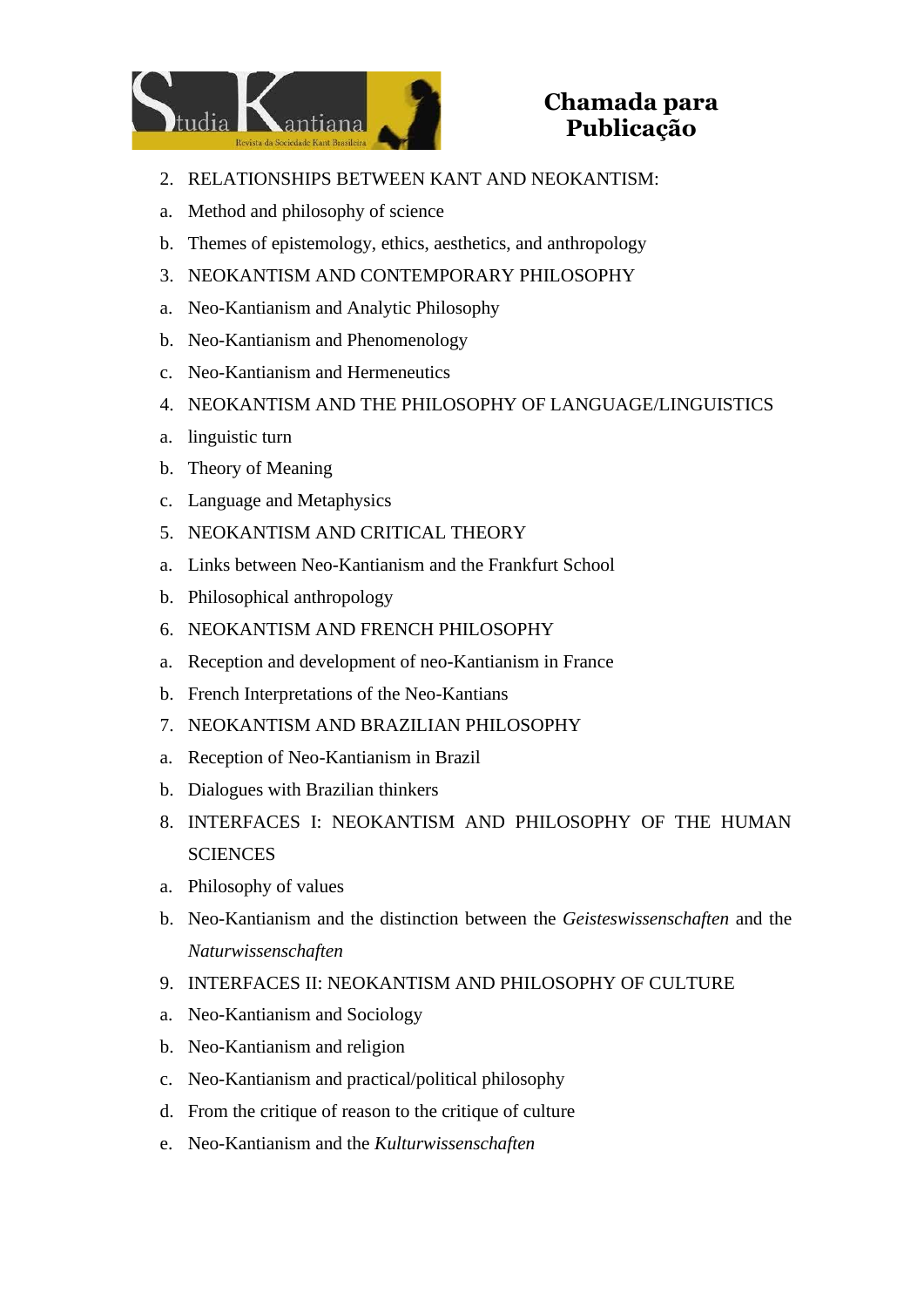

## **Chamada para Publicação**

- 2. RELATIONSHIPS BETWEEN KANT AND NEOKANTISM:
- a. Method and philosophy of science
- b. Themes of epistemology, ethics, aesthetics, and anthropology
- 3. NEOKANTISM AND CONTEMPORARY PHILOSOPHY
- a. Neo-Kantianism and Analytic Philosophy
- b. Neo-Kantianism and Phenomenology
- c. Neo-Kantianism and Hermeneutics
- 4. NEOKANTISM AND THE PHILOSOPHY OF LANGUAGE/LINGUISTICS
- a. linguistic turn
- b. Theory of Meaning
- c. Language and Metaphysics
- 5. NEOKANTISM AND CRITICAL THEORY
- a. Links between Neo-Kantianism and the Frankfurt School
- b. Philosophical anthropology
- 6. NEOKANTISM AND FRENCH PHILOSOPHY
- a. Reception and development of neo-Kantianism in France
- b. French Interpretations of the Neo-Kantians
- 7. NEOKANTISM AND BRAZILIAN PHILOSOPHY
- a. Reception of Neo-Kantianism in Brazil
- b. Dialogues with Brazilian thinkers
- 8. INTERFACES I: NEOKANTISM AND PHILOSOPHY OF THE HUMAN **SCIENCES**
- a. Philosophy of values
- b. Neo-Kantianism and the distinction between the *Geisteswissenschaften* and the *Naturwissenschaften*
- 9. INTERFACES II: NEOKANTISM AND PHILOSOPHY OF CULTURE
- a. Neo-Kantianism and Sociology
- b. Neo-Kantianism and religion
- c. Neo-Kantianism and practical/political philosophy
- d. From the critique of reason to the critique of culture
- e. Neo-Kantianism and the *Kulturwissenschaften*